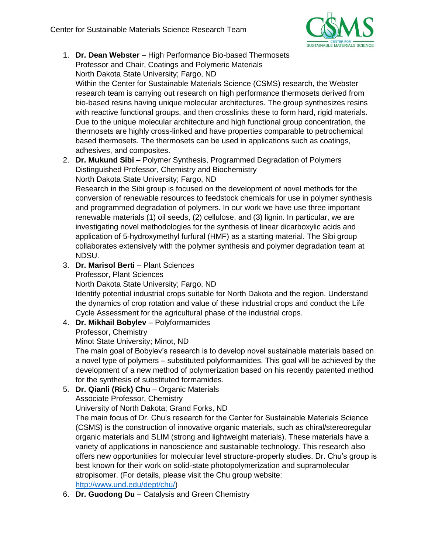

1. **Dr. Dean Webster** – High Performance Bio-based Thermosets Professor and Chair, Coatings and Polymeric Materials North Dakota State University; Fargo, ND Within the Center for Sustainable Materials Science (CSMS) research, the Webster

research team is carrying out research on high performance thermosets derived from bio-based resins having unique molecular architectures. The group synthesizes resins with reactive functional groups, and then crosslinks these to form hard, rigid materials. Due to the unique molecular architecture and high functional group concentration, the thermosets are highly cross-linked and have properties comparable to petrochemical based thermosets. The thermosets can be used in applications such as coatings, adhesives, and composites.

2. **Dr. Mukund Sibi** – Polymer Synthesis, Programmed Degradation of Polymers Distinguished Professor, Chemistry and Biochemistry North Dakota State University; Fargo, ND

Research in the Sibi group is focused on the development of novel methods for the conversion of renewable resources to feedstock chemicals for use in polymer synthesis and programmed degradation of polymers. In our work we have use three important renewable materials (1) oil seeds, (2) cellulose, and (3) lignin. In particular, we are investigating novel methodologies for the synthesis of linear dicarboxylic acids and application of 5-hydroxymethyl furfural (HMF) as a starting material. The Sibi group collaborates extensively with the polymer synthesis and polymer degradation team at NDSU.

- 3. **Dr. Marisol Berti** Plant Sciences
	- Professor, Plant Sciences

North Dakota State University; Fargo, ND

Identify potential industrial crops suitable for North Dakota and the region. Understand the dynamics of crop rotation and value of these industrial crops and conduct the Life Cycle Assessment for the agricultural phase of the industrial crops.

## 4. **Dr. Mikhail Bobylev** – Polyformamides

Professor, Chemistry

Minot State University; Minot, ND

The main goal of Bobylev's research is to develop novel sustainable materials based on a novel type of polymers – substituted polyformamides. This goal will be achieved by the development of a new method of polymerization based on his recently patented method for the synthesis of substituted formamides.

## 5. **Dr. Qianli (Rick) Chu** – Organic Materials

## Associate Professor, Chemistry

University of North Dakota; Grand Forks, ND

The main focus of Dr. Chu's research for the Center for Sustainable Materials Science (CSMS) is the construction of innovative organic materials, such as chiral/stereoregular organic materials and SLIM (strong and lightweight materials). These materials have a variety of applications in nanoscience and sustainable technology. This research also offers new opportunities for molecular level structure-property studies. Dr. Chu's group is best known for their work on solid-state photopolymerization and supramolecular atropisomer. (For details, please visit the Chu group website: [http://www.und.edu/dept/chu/\)](http://www.und.edu/dept/chu/)

6. **Dr. Guodong Du** – Catalysis and Green Chemistry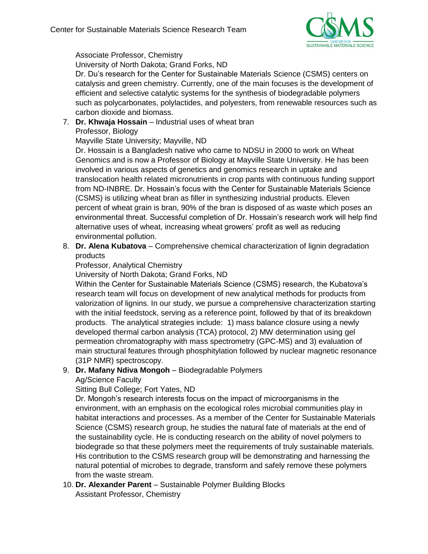

Associate Professor, Chemistry

University of North Dakota; Grand Forks, ND

Dr. Du's research for the Center for Sustainable Materials Science (CSMS) centers on catalysis and green chemistry. Currently, one of the main focuses is the development of efficient and selective catalytic systems for the synthesis of biodegradable polymers such as polycarbonates, polylactides, and polyesters, from renewable resources such as carbon dioxide and biomass.

7. **Dr. Khwaja Hossain** – Industrial uses of wheat bran Professor, Biology

Mayville State University; Mayville, ND

Dr. Hossain is a Bangladesh native who came to NDSU in 2000 to work on Wheat Genomics and is now a Professor of Biology at Mayville State University. He has been involved in various aspects of genetics and genomics research in uptake and translocation health related micronutrients in crop pants with continuous funding support from ND-INBRE. Dr. Hossain's focus with the Center for Sustainable Materials Science (CSMS) is utilizing wheat bran as filler in synthesizing industrial products. Eleven percent of wheat grain is bran, 90% of the bran is disposed of as waste which poses an environmental threat. Successful completion of Dr. Hossain's research work will help find alternative uses of wheat, increasing wheat growers' profit as well as reducing environmental pollution.

8. **Dr. Alena Kubatova** – Comprehensive chemical characterization of lignin degradation products

Professor, Analytical Chemistry

University of North Dakota; Grand Forks, ND

Within the Center for Sustainable Materials Science (CSMS) research, the Kubatova's research team will focus on development of new analytical methods for products from valorization of lignins. In our study, we pursue a comprehensive characterization starting with the initial feedstock, serving as a reference point, followed by that of its breakdown products. The analytical strategies include: 1) mass balance closure using a newly developed thermal carbon analysis (TCA) protocol, 2) MW determination using gel permeation chromatography with mass spectrometry (GPC-MS) and 3) evaluation of main structural features through phosphitylation followed by nuclear magnetic resonance (31P NMR) spectroscopy.

## 9. **Dr. Mafany Ndiva Mongoh** – Biodegradable Polymers

Ag/Science Faculty

Sitting Bull College; Fort Yates, ND

Dr. Mongoh's research interests focus on the impact of microorganisms in the environment, with an emphasis on the ecological roles microbial communities play in habitat interactions and processes. As a member of the Center for Sustainable Materials Science (CSMS) research group, he studies the natural fate of materials at the end of the sustainability cycle. He is conducting research on the ability of novel polymers to biodegrade so that these polymers meet the requirements of truly sustainable materials. His contribution to the CSMS research group will be demonstrating and harnessing the natural potential of microbes to degrade, transform and safely remove these polymers from the waste stream.

10. **Dr. Alexander Parent** – Sustainable Polymer Building Blocks Assistant Professor, Chemistry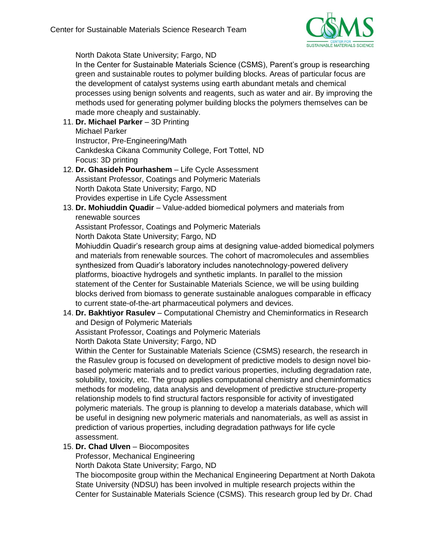

North Dakota State University; Fargo, ND

In the Center for Sustainable Materials Science (CSMS), Parent's group is researching green and sustainable routes to polymer building blocks. Areas of particular focus are the development of catalyst systems using earth abundant metals and chemical processes using benign solvents and reagents, such as water and air. By improving the methods used for generating polymer building blocks the polymers themselves can be made more cheaply and sustainably.

11. **Dr. Michael Parker** – 3D Printing Michael Parker Instructor, Pre-Engineering/Math Cankdeska Cikana Community College, Fort Tottel, ND

Focus: 3D printing

- 12. **Dr. Ghasideh Pourhashem** Life Cycle Assessment Assistant Professor, Coatings and Polymeric Materials North Dakota State University; Fargo, ND Provides expertise in Life Cycle Assessment
- 13. **Dr. Mohiuddin Quadir** Value-added biomedical polymers and materials from renewable sources

Assistant Professor, Coatings and Polymeric Materials North Dakota State University; Fargo, ND

Mohiuddin Quadir's research group aims at designing value-added biomedical polymers and materials from renewable sources. The cohort of macromolecules and assemblies synthesized from Quadir's laboratory includes nanotechnology-powered delivery platforms, bioactive hydrogels and synthetic implants. In parallel to the mission statement of the Center for Sustainable Materials Science, we will be using building blocks derived from biomass to generate sustainable analogues comparable in efficacy to current state-of-the-art pharmaceutical polymers and devices.

14. **Dr. Bakhtiyor Rasulev** – Computational Chemistry and Cheminformatics in Research and Design of Polymeric Materials

Assistant Professor, Coatings and Polymeric Materials

North Dakota State University; Fargo, ND

Within the Center for Sustainable Materials Science (CSMS) research, the research in the Rasulev group is focused on development of predictive models to design novel biobased polymeric materials and to predict various properties, including degradation rate, solubility, toxicity, etc. The group applies computational chemistry and cheminformatics methods for modeling, data analysis and development of predictive structure-property relationship models to find structural factors responsible for activity of investigated polymeric materials. The group is planning to develop a materials database, which will be useful in designing new polymeric materials and nanomaterials, as well as assist in prediction of various properties, including degradation pathways for life cycle assessment.

15. **Dr. Chad Ulven** – Biocomposites

Professor, Mechanical Engineering

North Dakota State University; Fargo, ND

The biocomposite group within the Mechanical Engineering Department at North Dakota State University (NDSU) has been involved in multiple research projects within the Center for Sustainable Materials Science (CSMS). This research group led by Dr. Chad